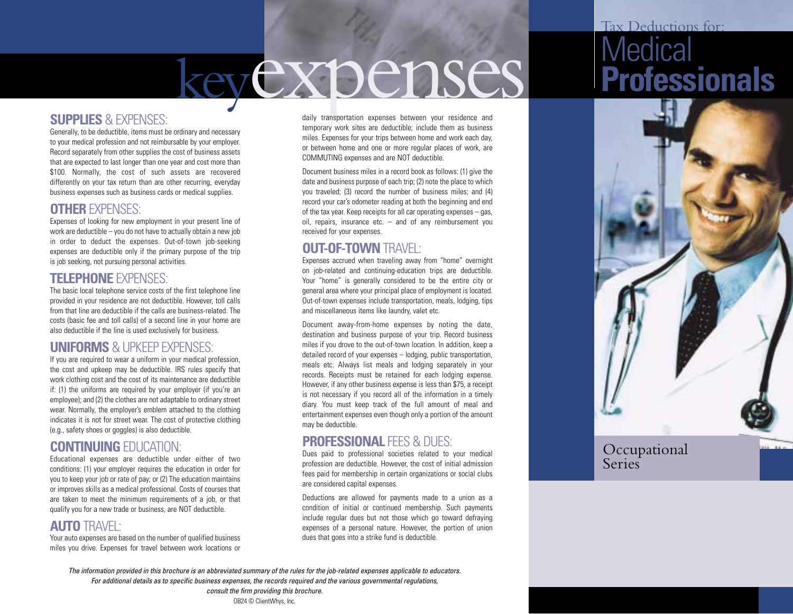# keyexpenses

### **SUPPLIES** & EXPENSES:

Generally, to be deductible, items must be ordinary and necessary to your medical profession and not reimbursable by your employer. Record separately from other supplies the cost of business assets that are expected to last longer than one year and cost more than \$100. Normally, the cost of such assets are recovered differently on your tax return than are other recurring, everyday business expenses such as business cards or medical supplies.

### **OTHER** EXPENSES:

Expenses of looking for new employment in your present line of work are deductible – you do not have to actually obtain a new job in order to deduct the expenses. Out-of-town job-seeking expenses are deductible only if the primary purpose of the trip is job seeking, not pursuing personal activities.

#### **TELEPHONE** EXPENSES:

The basic local telephone service costs of the first telephone line provided in your residence are not deductible. However, toll calls from that line are deductible if the calls are business-related. The costs (basic fee and toll calls) of a second line in your home are also deductible if the line is used exclusively for business.

### **UNIFORMS** & UPKEEP EXPENSES:

If you are required to wear a uniform in your medical profession, the cost and upkeep may be deductible. IRS rules specify that work clothing cost and the cost of its maintenance are deductible if: (1) the uniforms are required by your employer (if you're an employee); and (2) the clothes are not adaptable to ordinary street wear. Normally, the employer's emblem attached to the clothing indicates it is not for street wear. The cost of protective clothing (e.g., safety shoes or goggles) is also deductible.

### **CONTINUING** EDUCATION:

Educational expenses are deductible under either of two conditions: (1) your employer requires the education in order for you to keep your job or rate of pay; or (2) The education maintains or improves skills as a medical professional. Costs of courses that are taken to meet the minimum requirements of a job, or that qualify you for a new trade or business, are NOT deductible.

### **AUTO** TRAVEL:

Your auto expenses are based on the number of qualified business miles you drive. Expenses for travel between work locations or

daily transportation expenses between your residence and temporary work sites are deductible; include them as business miles. Expenses for your trips between home and work each day, or between home and one or more regular places of work, are COMMUTING expenses and are NOT deductible.

Document business miles in a record book as follows: (1) give the date and business purpose of each trip; (2) note the place to which you traveled; (3) record the number of business miles; and (4) record your car's odometer reading at both the beginning and end of the tax year. Keep receipts for all car operating expenses – gas, oil, repairs, insurance etc. – and of any reimbursement you received for your expenses.

### **OUT-OF-TOWN** TRAVEL:

Expenses accrued when traveling away from "home" overnight on job-related and continuing-education trips are deductible. Your "home" is generally considered to be the entire city or general area where your principal place of employment is located. Out-of-town expenses include transportation, meals, lodging, tips and miscellaneous items like laundry, valet etc.

Document away-from-home expenses by noting the date, destination and business purpose of your trip. Record business miles if you drove to the out-of-town location. In addition, keep a detailed record of your expenses – lodging, public transportation, meals etc. Always list meals and lodging separately in your records. Receipts must be retained for each lodging expense. However, if any other business expense is less than \$75, a receipt is not necessary if you record all of the information in a timely diary. You must keep track of the full amount of meal and entertainment expenses even though only a portion of the amount may be deductible.

### **PROFESSIONAL FFES & DUES:**

Dues paid to professional societies related to your medical profession are deductible. However, the cost of initial admission fees paid for membership in certain organizations or social clubs are considered capital expenses.

Deductions are allowed for payments made to a union as a condition of initial or continued membership. Such payments include regular dues but not those which go toward defraying expenses of a personal nature. However, the portion of union dues that goes into a strike fund is deductible.

# Tax Deductions for: **Medical Professionals**



*The information provided in this brochure is an abbreviated summary of the rules for the job-related expenses applicable to educators. For additional details as to specific business expenses, the records required and the various governmental regulations,* 

> *consult the firm providing this brochure.* OB24 © ClientWhys, Inc.